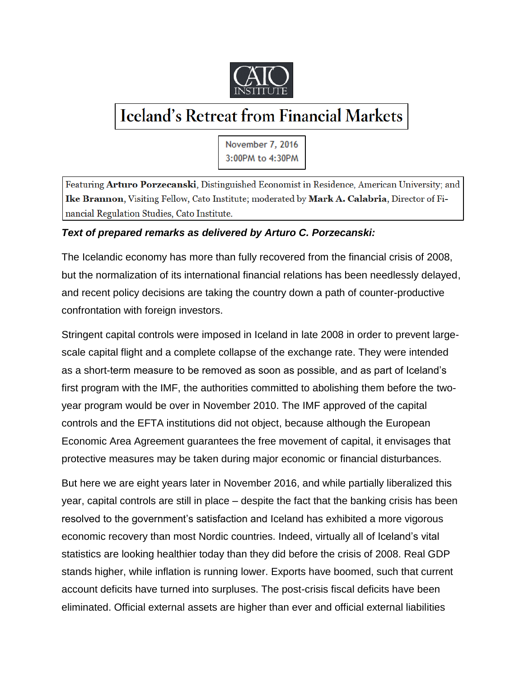

## **Iceland's Retreat from Financial Markets**

November 7, 2016 3:00PM to 4:30PM

Featuring Arturo Porzecanski, Distinguished Economist in Residence, American University; and Ike Brannon, Visiting Fellow, Cato Institute; moderated by Mark A. Calabria, Director of Financial Regulation Studies, Cato Institute.

## *Text of prepared remarks as delivered by Arturo C. Porzecanski:*

The Icelandic economy has more than fully recovered from the financial crisis of 2008, but the normalization of its international financial relations has been needlessly delayed, and recent policy decisions are taking the country down a path of counter-productive confrontation with foreign investors.

Stringent capital controls were imposed in Iceland in late 2008 in order to prevent largescale capital flight and a complete collapse of the exchange rate. They were intended as a short-term measure to be removed as soon as possible, and as part of Iceland's first program with the IMF, the authorities committed to abolishing them before the twoyear program would be over in November 2010. The IMF approved of the capital controls and the EFTA institutions did not object, because although the European Economic Area Agreement guarantees the free movement of capital, it envisages that protective measures may be taken during major economic or financial disturbances.

But here we are eight years later in November 2016, and while partially liberalized this year, capital controls are still in place – despite the fact that the banking crisis has been resolved to the government's satisfaction and Iceland has exhibited a more vigorous economic recovery than most Nordic countries. Indeed, virtually all of Iceland's vital statistics are looking healthier today than they did before the crisis of 2008. Real GDP stands higher, while inflation is running lower. Exports have boomed, such that current account deficits have turned into surpluses. The post-crisis fiscal deficits have been eliminated. Official external assets are higher than ever and official external liabilities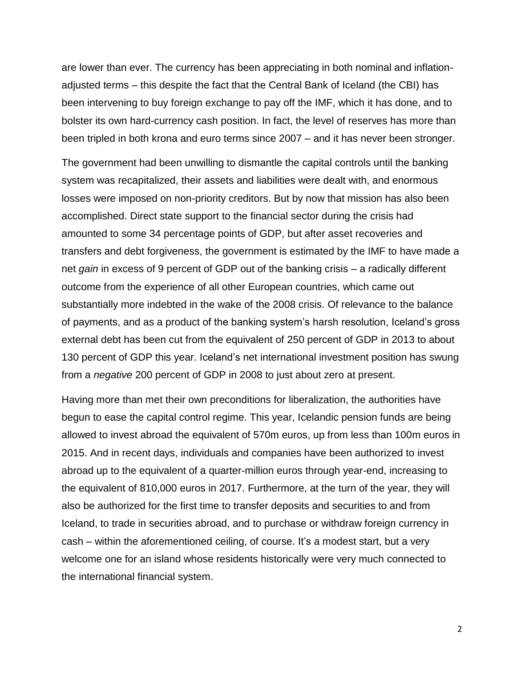are lower than ever. The currency has been appreciating in both nominal and inflationadjusted terms – this despite the fact that the Central Bank of Iceland (the CBI) has been intervening to buy foreign exchange to pay off the IMF, which it has done, and to bolster its own hard-currency cash position. In fact, the level of reserves has more than been tripled in both krona and euro terms since 2007 – and it has never been stronger.

The government had been unwilling to dismantle the capital controls until the banking system was recapitalized, their assets and liabilities were dealt with, and enormous losses were imposed on non-priority creditors. But by now that mission has also been accomplished. Direct state support to the financial sector during the crisis had amounted to some 34 percentage points of GDP, but after asset recoveries and transfers and debt forgiveness, the government is estimated by the IMF to have made a net *gain* in excess of 9 percent of GDP out of the banking crisis – a radically different outcome from the experience of all other European countries, which came out substantially more indebted in the wake of the 2008 crisis. Of relevance to the balance of payments, and as a product of the banking system's harsh resolution, Iceland's gross external debt has been cut from the equivalent of 250 percent of GDP in 2013 to about 130 percent of GDP this year. Iceland's net international investment position has swung from a *negative* 200 percent of GDP in 2008 to just about zero at present.

Having more than met their own preconditions for liberalization, the authorities have begun to ease the capital control regime. This year, Icelandic pension funds are being allowed to invest abroad the equivalent of 570m euros, up from less than 100m euros in 2015. And in recent days, individuals and companies have been authorized to invest abroad up to the equivalent of a quarter-million euros through year-end, increasing to the equivalent of 810,000 euros in 2017. Furthermore, at the turn of the year, they will also be authorized for the first time to transfer deposits and securities to and from Iceland, to trade in securities abroad, and to purchase or withdraw foreign currency in cash – within the aforementioned ceiling, of course. It's a modest start, but a very welcome one for an island whose residents historically were very much connected to the international financial system.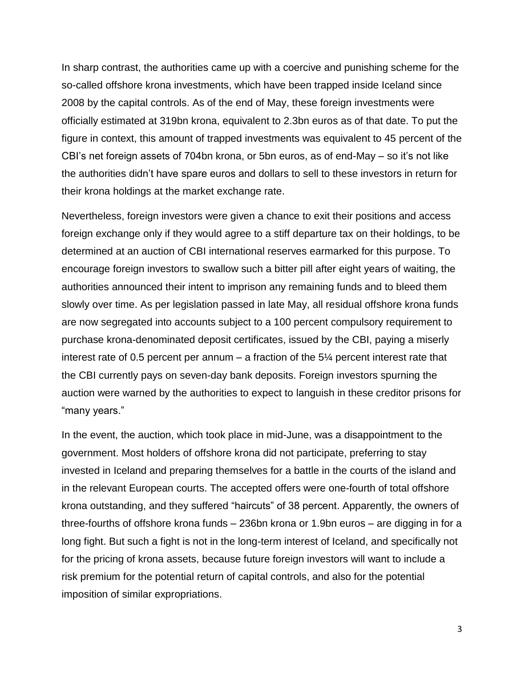In sharp contrast, the authorities came up with a coercive and punishing scheme for the so-called offshore krona investments, which have been trapped inside Iceland since 2008 by the capital controls. As of the end of May, these foreign investments were officially estimated at 319bn krona, equivalent to 2.3bn euros as of that date. To put the figure in context, this amount of trapped investments was equivalent to 45 percent of the CBI's net foreign assets of 704bn krona, or 5bn euros, as of end-May – so it's not like the authorities didn't have spare euros and dollars to sell to these investors in return for their krona holdings at the market exchange rate.

Nevertheless, foreign investors were given a chance to exit their positions and access foreign exchange only if they would agree to a stiff departure tax on their holdings, to be determined at an auction of CBI international reserves earmarked for this purpose. To encourage foreign investors to swallow such a bitter pill after eight years of waiting, the authorities announced their intent to imprison any remaining funds and to bleed them slowly over time. As per legislation passed in late May, all residual offshore krona funds are now segregated into accounts subject to a 100 percent compulsory requirement to purchase krona-denominated deposit certificates, issued by the CBI, paying a miserly interest rate of 0.5 percent per annum  $-$  a fraction of the 5 $\frac{1}{4}$  percent interest rate that the CBI currently pays on seven-day bank deposits. Foreign investors spurning the auction were warned by the authorities to expect to languish in these creditor prisons for "many years."

In the event, the auction, which took place in mid-June, was a disappointment to the government. Most holders of offshore krona did not participate, preferring to stay invested in Iceland and preparing themselves for a battle in the courts of the island and in the relevant European courts. The accepted offers were one-fourth of total offshore krona outstanding, and they suffered "haircuts" of 38 percent. Apparently, the owners of three-fourths of offshore krona funds – 236bn krona or 1.9bn euros – are digging in for a long fight. But such a fight is not in the long-term interest of Iceland, and specifically not for the pricing of krona assets, because future foreign investors will want to include a risk premium for the potential return of capital controls, and also for the potential imposition of similar expropriations.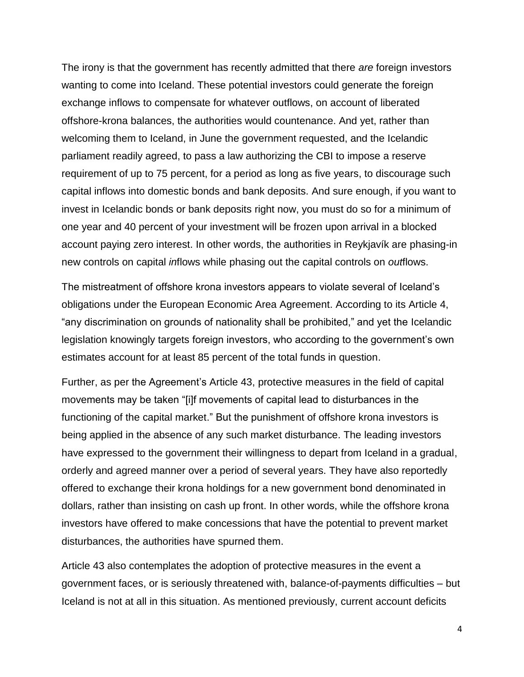The irony is that the government has recently admitted that there *are* foreign investors wanting to come into Iceland. These potential investors could generate the foreign exchange inflows to compensate for whatever outflows, on account of liberated offshore-krona balances, the authorities would countenance. And yet, rather than welcoming them to Iceland, in June the government requested, and the Icelandic parliament readily agreed, to pass a law authorizing the CBI to impose a reserve requirement of up to 75 percent, for a period as long as five years, to discourage such capital inflows into domestic bonds and bank deposits. And sure enough, if you want to invest in Icelandic bonds or bank deposits right now, you must do so for a minimum of one year and 40 percent of your investment will be frozen upon arrival in a blocked account paying zero interest. In other words, the authorities in Reykjavík are phasing-in new controls on capital *in*flows while phasing out the capital controls on *out*flows.

The mistreatment of offshore krona investors appears to violate several of Iceland's obligations under the European Economic Area Agreement. According to its Article 4, "any discrimination on grounds of nationality shall be prohibited," and yet the Icelandic legislation knowingly targets foreign investors, who according to the government's own estimates account for at least 85 percent of the total funds in question.

Further, as per the Agreement's Article 43, protective measures in the field of capital movements may be taken "[i]f movements of capital lead to disturbances in the functioning of the capital market." But the punishment of offshore krona investors is being applied in the absence of any such market disturbance. The leading investors have expressed to the government their willingness to depart from Iceland in a gradual, orderly and agreed manner over a period of several years. They have also reportedly offered to exchange their krona holdings for a new government bond denominated in dollars, rather than insisting on cash up front. In other words, while the offshore krona investors have offered to make concessions that have the potential to prevent market disturbances, the authorities have spurned them.

Article 43 also contemplates the adoption of protective measures in the event a government faces, or is seriously threatened with, balance-of-payments difficulties – but Iceland is not at all in this situation. As mentioned previously, current account deficits